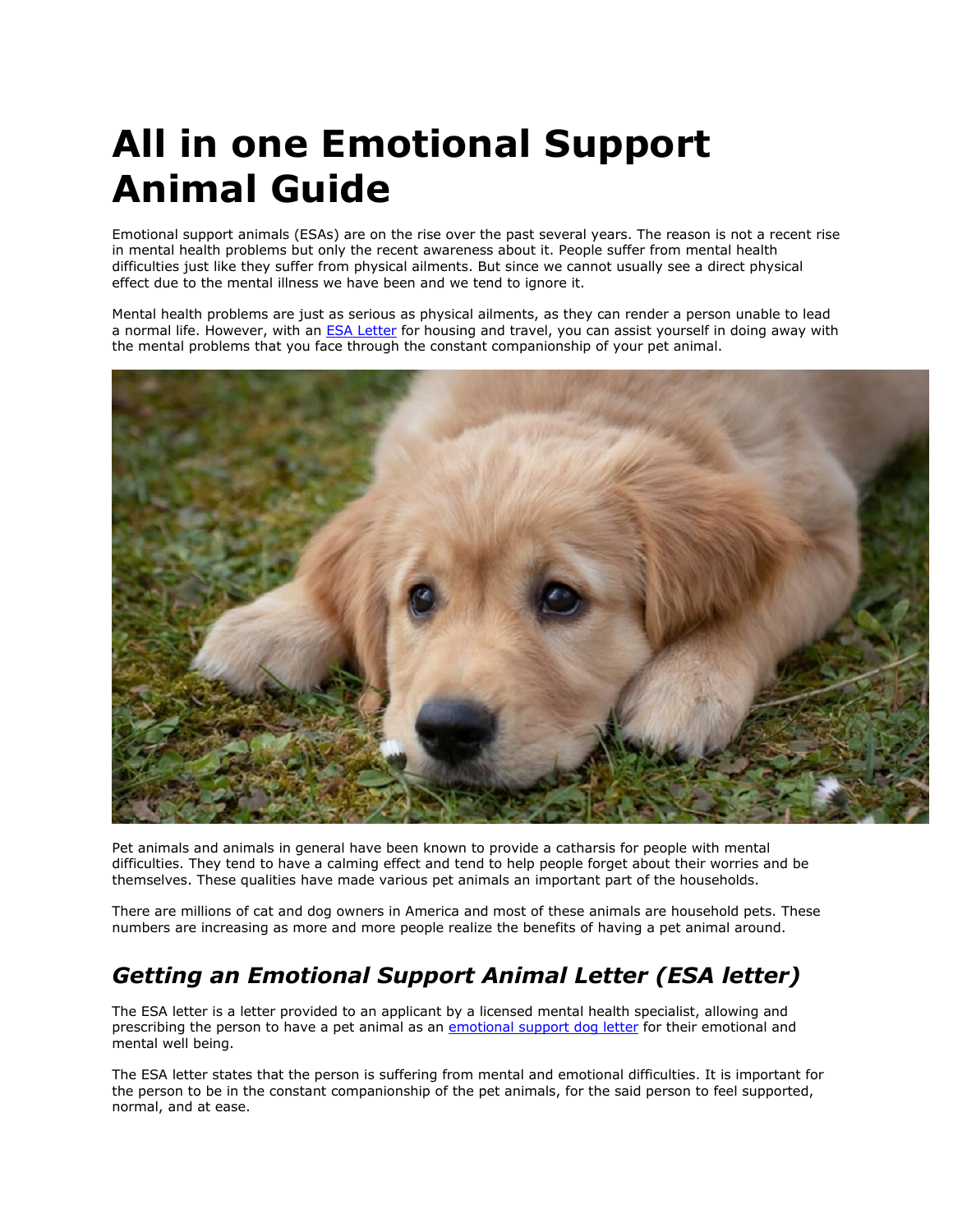# **All in one Emotional Support Animal Guide**

Emotional support animals (ESAs) are on the rise over the past several years. The reason is not a recent rise in mental health problems but only the recent awareness about it. People suffer from mental health difficulties just like they suffer from physical ailments. But since we cannot usually see a direct physical effect due to the mental illness we have been and we tend to ignore it.

Mental health problems are just as serious as physical ailments, as they can render a person unable to lead a normal life. However, with an **[ESA Letter](https://www.realesaletter.com/sample-esa-letter)** for housing and travel, you can assist yourself in doing away with the mental problems that you face through the constant companionship of your pet animal.



Pet animals and animals in general have been known to provide a catharsis for people with mental difficulties. They tend to have a calming effect and tend to help people forget about their worries and be themselves. These qualities have made various pet animals an important part of the households.

There are millions of cat and dog owners in America and most of these animals are household pets. These numbers are increasing as more and more people realize the benefits of having a pet animal around.

## *Getting an Emotional Support Animal Letter (ESA letter)*

The ESA letter is a letter provided to an applicant by a licensed mental health specialist, allowing and prescribing the person to have a pet animal as an [emotional support dog letter](https://www.realesaletter.com/sample-esa-letter) for their emotional and mental well being.

The ESA letter states that the person is suffering from mental and emotional difficulties. It is important for the person to be in the constant companionship of the pet animals, for the said person to feel supported, normal, and at ease.